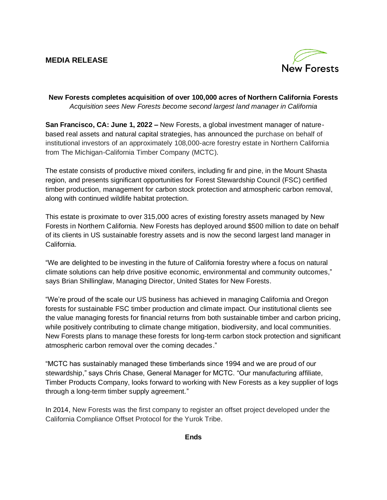# **MEDIA RELEASE**



## **New Forests completes acquisition of over 100,000 acres of Northern California Forests** *Acquisition sees New Forests become second largest land manager in California*

**San Francisco, CA: June 1, 2022 –** New Forests, a global investment manager of naturebased real assets and natural capital strategies, has announced the purchase on behalf of institutional investors of an approximately 108,000-acre forestry estate in Northern California from The Michigan-California Timber Company (MCTC).

The estate consists of productive mixed conifers, including fir and pine, in the Mount Shasta region, and presents significant opportunities for Forest Stewardship Council (FSC) certified timber production, management for carbon stock protection and atmospheric carbon removal, along with continued wildlife habitat protection.

This estate is proximate to over 315,000 acres of existing forestry assets managed by New Forests in Northern California. New Forests has deployed around \$500 million to date on behalf of its clients in US sustainable forestry assets and is now the second largest land manager in California.

"We are delighted to be investing in the future of California forestry where a focus on natural climate solutions can help drive positive economic, environmental and community outcomes," says Brian Shillinglaw, Managing Director, United States for New Forests.

"We're proud of the scale our US business has achieved in managing California and Oregon forests for sustainable FSC timber production and climate impact. Our institutional clients see the value managing forests for financial returns from both sustainable timber and carbon pricing, while positively contributing to climate change mitigation, biodiversity, and local communities. New Forests plans to manage these forests for long-term carbon stock protection and significant atmospheric carbon removal over the coming decades."

"MCTC has sustainably managed these timberlands since 1994 and we are proud of our stewardship," says Chris Chase, General Manager for MCTC. "Our manufacturing affiliate, Timber Products Company, looks forward to working with New Forests as a key supplier of logs through a long-term timber supply agreement."

In 2014, New Forests was the first company to register an offset project developed under the California Compliance Offset Protocol for the Yurok Tribe.